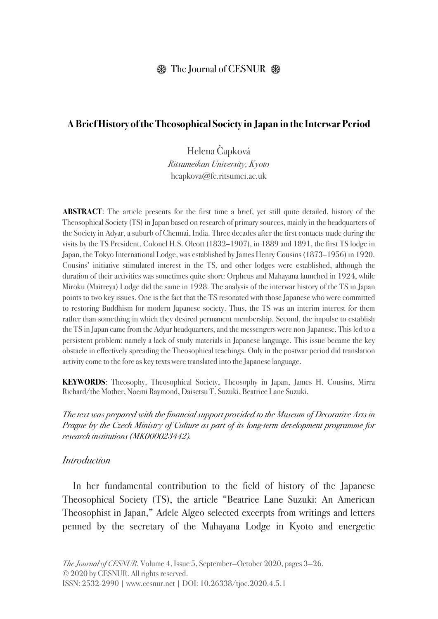### $\circledast$  The Journal of CESNUR  $\circledast$

### **A Brief History of the Theosophical Society in Japan in the Interwar Period**

Helena Čapková *Ritsumeikan University, Kyoto* hcapkova@fc.ritsumei.ac.uk

**ABSTRACT**: The article presents for the first time a brief, yet still quite detailed, history of the Theosophical Society (TS) in Japan based on research of primary sources, mainly in the headquarters of the Society in Adyar, a suburb of Chennai, India. Three decades after the first contacts made during the visits by the TS President, Colonel H.S. Olcott (1832–1907), in 1889 and 1891, the first TS lodge in Japan, the Tokyo International Lodge, was established by James Henry Cousins (1873–1956) in 1920. Cousins' initiative stimulated interest in the TS, and other lodges were established, although the duration of their activities was sometimes quite short: Orpheus and Mahayana launched in 1924, while Miroku (Maitreya) Lodge did the same in 1928. The analysis of the interwar history of the TS in Japan points to two key issues. One is the fact that the TS resonated with those Japanese who were committed to restoring Buddhism for modern Japanese society. Thus, the TS was an interim interest for them rather than something in which they desired permanent membership. Second, the impulse to establish the TS in Japan came from the Adyar headquarters, and the messengers were non-Japanese. This led to a persistent problem: namely a lack of study materials in Japanese language. This issue became the key obstacle in effectively spreading the Theosophical teachings. Only in the postwar period did translation activity come to the fore as key texts were translated into the Japanese language.

**KEYWORDS**: Theosophy, Theosophical Society, Theosophy in Japan, James H. Cousins, Mirra Richard/the Mother, Noemi Raymond, Daisetsu T. Suzuki, Beatrice Lane Suzuki.

*The text was prepared with the financial support provided to the Museum of Decorative Arts in Prague by the Czech Ministry of Culture as part of its long-term development programme for research institutions (MK000023442).*

#### *Introduction*

In her fundamental contribution to the field of history of the Japanese Theosophical Society (TS), the article "Beatrice Lane Suzuki: An American Theosophist in Japan," Adele Algeo selected excerpts from writings and letters penned by the secretary of the Mahayana Lodge in Kyoto and energetic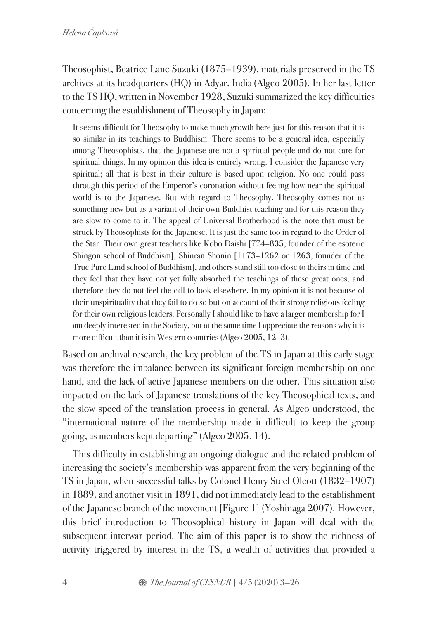Theosophist, Beatrice Lane Suzuki (1875–1939), materials preserved in the TS archives at its headquarters (HQ) in Adyar, India(Algeo 2005). In her last letter to the TS HQ, written in November 1928, Suzuki summarized the key difficulties concerning the establishment of Theosophy in Japan:

It seems difficult for Theosophy to make much growth here just for this reason that it is so similar in its teachings to Buddhism. There seems to be a general idea, especially among Theosophists, that the Japanese are not a spiritual people and do not care for spiritual things. In my opinion this idea is entirely wrong. I consider the Japanese very spiritual; all that is best in their culture is based upon religion. No one could pass through this period of the Emperor's coronation without feeling how near the spiritual world is to the Japanese. But with regard to Theosophy, Theosophy comes not as something new but as a variant of their own Buddhist teaching and for this reason they are slow to come to it. The appeal of Universal Brotherhood is the note that must be struck by Theosophists for the Japanese. It is just the same too in regard to the Order of the Star. Their own great teachers like Kobo Daishi [774–835, founder of the esoteric Shingon school of Buddhism], Shinran Shonin [1173–1262 or 1263, founder of the True Pure Land school of Buddhism], and others stand still too close to theirs in time and they feel that they have not yet fully absorbed the teachings of these great ones, and therefore they do not feel the call to look elsewhere. In my opinion it is not because of their unspirituality that they fail to do so but on account of their strong religious feeling for their own religious leaders. Personally I should like to have a larger membership for I am deeply interested in the Society, butat the same time I appreciate the reasons why it is more difficult than it is in Western countries (Algeo 2005, 12–3).

Based on archival research, the key problem of the TS in Japan at this early stage was therefore the imbalance between its significant foreign membership on one hand, and the lack of active Japanese members on the other. This situation also impacted on the lack of Japanese translations of the key Theosophical texts, and the slow speed of the translation process in general. As Algeo understood, the "international nature of the membership made it difficult to keep the group going, as members kept departing" (Algeo 2005, 14).

This difficulty in establishing an ongoing dialogue and the related problem of increasing the society's membership was apparent from the very beginning of the TS in Japan, when successful talks by Colonel Henry Steel Olcott (1832–1907) in 1889, and another visit in 1891, did not immediately lead to the establishment of the Japanese branch of the movement [Figure 1] (Yoshinaga 2007). However, this brief introduction to Theosophical history in Japan will deal with the subsequent interwar period. The aim of this paper is to show the richness of activity triggered by interest in the TS, a wealth of activities that provided a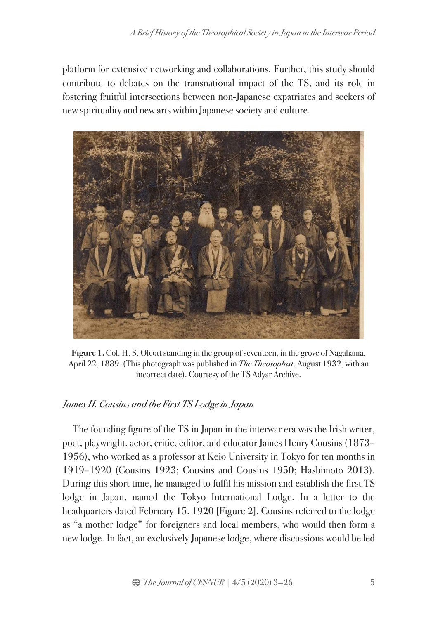platform for extensive networking and collaborations. Further, this study should contribute to debates on the transnational impact of the TS, and its role in fostering fruitful intersections between non-Japanese expatriates and seekers of new spirituality and new arts within Japanese society and culture.



**Figure 1.** Col. H. S. Olcott standing in the group of seventeen, in the grove of Nagahama, April 22, 1889. (This photograph was published in *The Theosophist*, August 1932, with an incorrect date). Courtesy of the TS Adyar Archive.

# *James H. Cousins and the First TS Lodge in Japan*

The founding figure of the TS in Japan in the interwar era was the Irish writer, poet, playwright, actor, critic, editor, and educator James Henry Cousins (1873– 1956), who worked as a professor at Keio University in Tokyo for ten months in 1919–1920 (Cousins 1923; Cousins and Cousins 1950; Hashimoto 2013). During this short time, he managed to fulfil his mission and establish the first TS lodge in Japan, named the Tokyo International Lodge. In a letter to the headquarters dated February 15, 1920 [Figure 2], Cousins referred to the lodge as "a mother lodge" for foreigners and local members, who would then form a new lodge. In fact, an exclusively Japanese lodge, where discussions would be led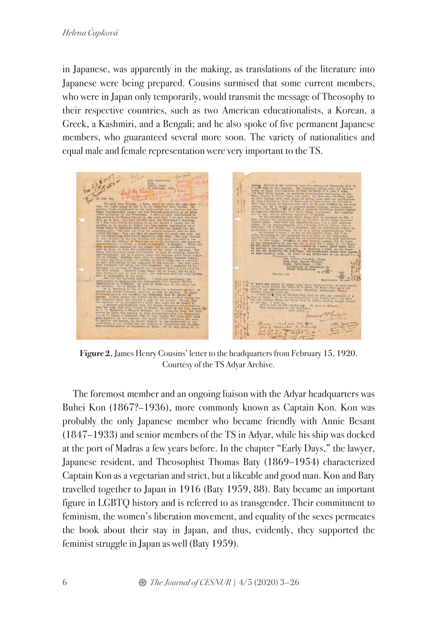in Japanese, was apparently in the making, as translations of the literature into Japanese were being prepared. Cousins surmised that some current members, who were in Japan only temporarily, would transmit the message of Theosophy to their respective countries, such as two American educationalists, a Korean, a Greek, a Kashmiri, and a Bengali; and he also spoke of five permanent Japanese members, who guaranteed several more soon. The variety of nationalities and equal male and female representation were very important to the TS.



**Figure 2.** James Henry Cousins' letter to the headquarters from February 15, 1920. Courtesy of the TS Adyar Archive.

The foremost member and an ongoing liaison with the Adyar headquarters was Buhei Kon (1867?–1936), more commonly known as Captain Kon. Kon was probably the only Japanese member who became friendly with Annie Besant (1847–1933) and senior members of the TS in Adyar, while his ship was docked at the port of Madras a few years before. In the chapter "Early Days," the lawyer, Japanese resident, and Theosophist Thomas Baty (1869–1954) characterized Captain Kon as a vegetarian and strict, but a likeable and good man. Kon and Baty travelled together to Japan in 1916 (Baty 1959, 88). Baty became an important figure in LGBTQ history and is referred to as transgender. Their commitment to feminism, the women's liberation movement, and equality of the sexes permeates the book about their stay in Japan, and thus, evidently, they supported the feminist struggle in Japan as well (Baty 1959).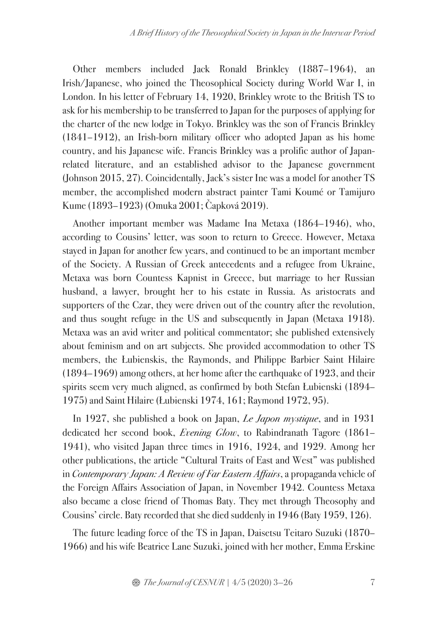Other members included Jack Ronald Brinkley (1887–1964), an Irish/Japanese, who joined the Theosophical Society during World War I, in London. In his letter of February 14, 1920, Brinkley wrote to the British TS to ask for his membership to be transferred to Japan for the purposes of applying for the charter of the new lodge in Tokyo. Brinkley was the son of Francis Brinkley (1841–1912), an Irish-born military officer who adopted Japan as his home country, and his Japanese wife. Francis Brinkley was a prolific author of Japanrelated literature, and an established advisor to the Japanese government (Johnson 2015, 27). Coincidentally, Jack's sister Ine was a model for another TS member, the accomplished modern abstract painter Tami Koumé or Tamijuro Kume (1893–1923) (Omuka 2001; Čapková 2019).

Another important member was Madame Ina Metaxa (1864–1946), who, according to Cousins' letter, was soon to return to Greece. However, Metaxa stayed in Japan for another few years, and continued to be an important member of the Society. A Russian of Greek antecedents and a refugee from Ukraine, Metaxa was born Countess Kapnist in Greece, but marriage to her Russian husband, a lawyer, brought her to his estate in Russia. As aristocrats and supporters of the Czar, they were driven out of the country after the revolution, and thus sought refuge in the US and subsequently in Japan (Metaxa 1918). Metaxa was an avid writer and political commentator; she published extensively about feminism and on art subjects. She provided accommodation to other TS members, the Łubienskis, the Raymonds, and Philippe Barbier Saint Hilaire (1894–1969) among others, at her home after the earthquake of 1923, and their spirits seem very much aligned, as confirmed by both Stefan Łubienski (1894– 1975) and Saint Hilaire (Łubienski 1974, 161; Raymond 1972, 95).

In 1927, she published a book on Japan, *Le Japon mystique*, and in 1931 dedicated her second book, *Evening Glow*, to Rabindranath Tagore (1861– 1941), who visited Japan three times in 1916, 1924, and 1929. Among her other publications, the article "Cultural Traits of East and West" was published in *Contemporary Japan: A Review of Far Eastern Affairs*, a propaganda vehicle of the Foreign Affairs Association of Japan, in November 1942.Countess Metaxa also became a close friend of Thomas Baty. They met through Theosophy and Cousins' circle. Baty recorded that she died suddenly in 1946 (Baty 1959, 126).

The future leading force of the TS in Japan, Daisetsu Teitaro Suzuki (1870– 1966) and his wife Beatrice Lane Suzuki, joined with her mother, Emma Erskine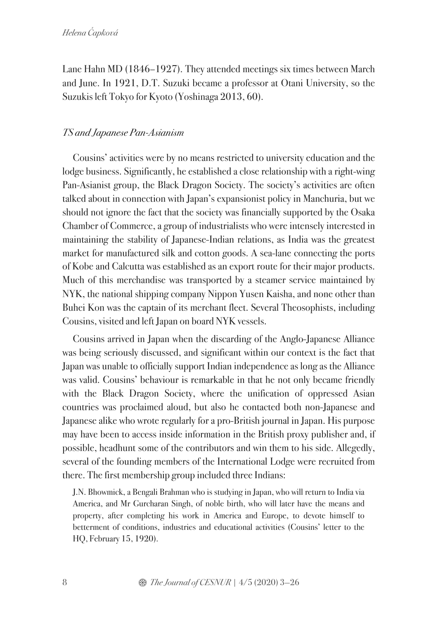Lane Hahn MD (1846–1927). They attended meetings six times between March and June. In 1921, D.T. Suzuki became a professor at Otani University, so the Suzukis left Tokyo for Kyoto (Yoshinaga 2013, 60).

#### *TS and Japanese Pan-Asianism*

Cousins' activities were by no means restricted to university education and the lodge business. Significantly, he established a close relationship with a right-wing Pan-Asianist group, the Black Dragon Society. The society's activities are often talked about in connection with Japan's expansionist policy in Manchuria, but we should not ignore the fact that the society was financially supported by the Osaka Chamber of Commerce, a group of industrialists who were intensely interested in maintaining the stability of Japanese-Indian relations, as India was the greatest market for manufactured silk and cotton goods. A sea-lane connecting the ports of Kobe and Calcutta was established as an export route for their major products. Much of this merchandise was transported by a steamer service maintained by NYK, the national shipping company Nippon Yusen Kaisha, and none other than Buhei Kon was the captain of its merchant fleet. Several Theosophists, including Cousins, visited and left Japan on board NYK vessels.

Cousins arrived in Japan when the discarding of the Anglo-Japanese Alliance was being seriously discussed, and significant within our context is the fact that Japan was unable to officially support Indian independence as long as the Alliance was valid. Cousins' behaviour is remarkable in that he not only became friendly with the Black Dragon Society, where the unification of oppressed Asian countries was proclaimed aloud, but also he contacted both non-Japanese and Japanese alike who wrote regularly for a pro-British journal in Japan. His purpose may have been to access inside information in the British proxy publisher and, if possible, headhunt some of the contributors and win them to his side. Allegedly, several of the founding members of the International Lodge were recruited from there. The first membership group included three Indians:

J.N. Bhowmick, a Bengali Brahman who is studying in Japan, who will return to India via America, and Mr Gurcharan Singh, of noble birth, who will later have the means and property, after completing his work in America and Europe, to devote himself to betterment of conditions, industries and educational activities (Cousins' letter to the HQ, February 15, 1920).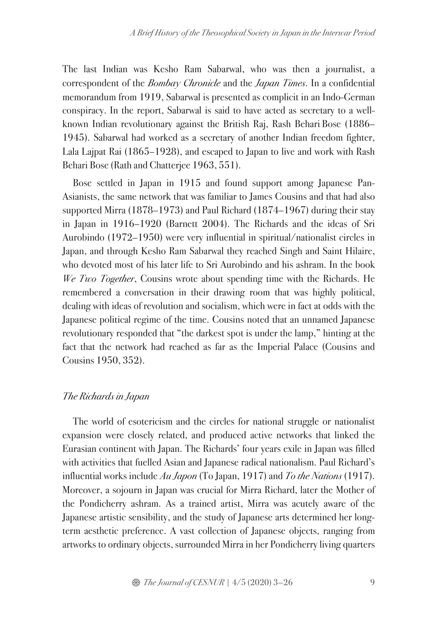The last Indian was Kesho Ram Sabarwal, who was then a journalist, a correspondent of the *Bombay Chronicle* and the *Japan Times*. In a confidential memorandum from 1919, Sabarwal is presented as complicit in an Indo-German conspiracy. In the report, Sabarwal is said to have acted as secretary to a wellknown Indian revolutionary against the British Raj, Rash Behari Bose (1886– 1945). Sabarwal had worked as a secretary of another Indian freedom fighter, Lala Lajpat Rai (1865–1928), and escaped to Japan to live and work with Rash Behari Bose (Rath and Chatterjee 1963, 551).

Bose settled in Japan in 1915 and found support among Japanese Pan-Asianists, the same network that was familiar to James Cousins and that had also supported Mirra (1878–1973) and Paul Richard (1874–1967) during their stay in Japan in 1916–1920 (Barnett 2004). The Richards and the ideas of Sri Aurobindo (1972–1950) were very influential in spiritual/nationalist circles in Japan, and through Kesho Ram Sabarwal they reached Singh and Saint Hilaire, who devoted most of his later life to Sri Aurobindo and his ashram. In the book *We Two Together*, Cousins wrote about spending time with the Richards. He remembered a conversation in their drawing room that was highly political, dealing with ideas of revolution and socialism, which were in fact at odds with the Japanese political regime of the time. Cousins noted that an unnamed Japanese revolutionary responded that "the darkest spot is under the lamp," hinting at the fact that the network had reached as far as the Imperial Palace (Cousins and Cousins 1950, 352).

### *The Richards in Japan*

The world of esotericism and the circles for national struggle or nationalist expansion were closely related, and produced active networks that linked the Eurasian continent with Japan. The Richards' four years exile in Japan was filled with activities that fuelled Asian and Japanese radical nationalism. Paul Richard's influential works include *Au Japon* (To Japan, 1917) and *To the Nations* (1917). Moreover, a sojourn in Japan was crucial for Mirra Richard, later the Mother of the Pondicherry ashram. As a trained artist, Mirra was acutely aware of the Japanese artistic sensibility, and the study of Japanese arts determined her longterm aesthetic preference. A vast collection of Japanese objects, ranging from artworks to ordinary objects, surrounded Mirra in her Pondicherry living quarters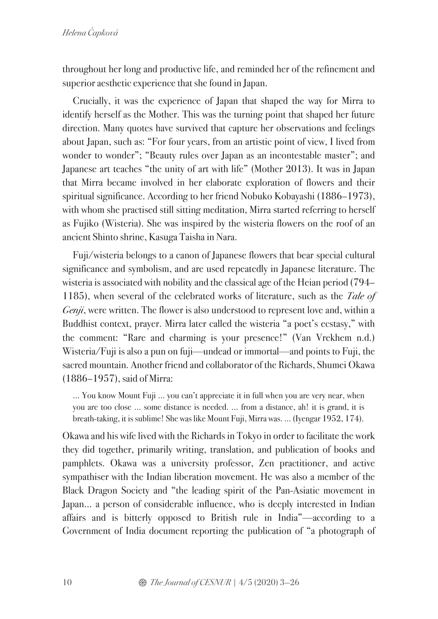throughout her long and productive life, and reminded her of the refinement and superior aesthetic experience that she found in Japan.

Crucially, it was the experience of Japan that shaped the way for Mirra to identify herself as the Mother. This was the turning point that shaped her future direction. Many quotes have survived that capture her observations and feelings about Japan, such as: "For four years, from an artistic point of view, I lived from wonder to wonder"; "Beauty rules over Japan as an incontestable master"; and Japanese art teaches "the unity of art with life" (Mother 2013). It was in Japan that Mirra became involved in her elaborate exploration of flowers and their spiritual significance. According to her friend Nobuko Kobayashi (1886–1973), with whom she practised still sitting meditation, Mirra started referring to herself as Fujiko (Wisteria). She was inspired by the wisteria flowers on the roof of an ancient Shinto shrine, Kasuga Taisha in Nara.

Fuji/wisteria belongs to a canon of Japanese flowers that bear special cultural significance and symbolism, and are used repeatedly in Japanese literature. The wisteria is associated with nobility and the classical age of the Heian period (794– 1185), when several of the celebrated works of literature, such as the *Tale of Genji*, were written. The flower is also understood to represent love and, within a Buddhist context, prayer. Mirra later called the wisteria "a poet's ecstasy," with the comment: "Rare and charming is your presence!" (Van Vrekhem n.d.) Wisteria/Fuji is also a pun on fuji—undead or immortal—and points to Fuji, the sacred mountain. Another friend and collaborator of the Richards, Shumei Okawa (1886–1957), said of Mirra:

… You know Mount Fuji … you can't appreciate it in full when you are very near, when you are too close … some distance is needed. … from a distance, ah! it is grand, it is breath-taking, it is sublime! She was like Mount Fuji, Mirra was. … (Iyengar 1952, 174).

Okawa and his wife lived with the Richards in Tokyo in order to facilitate the work they did together, primarily writing, translation, and publication of books and pamphlets. Okawa was a university professor, Zen practitioner, and active sympathiser with the Indian liberation movement. He was also a member of the Black Dragon Society and "the leading spirit of the Pan-Asiatic movement in Japan... a person of considerable influence, who is deeply interested in Indian affairs and is bitterly opposed to British rule in India"—according to a Government of India document reporting the publication of "a photograph of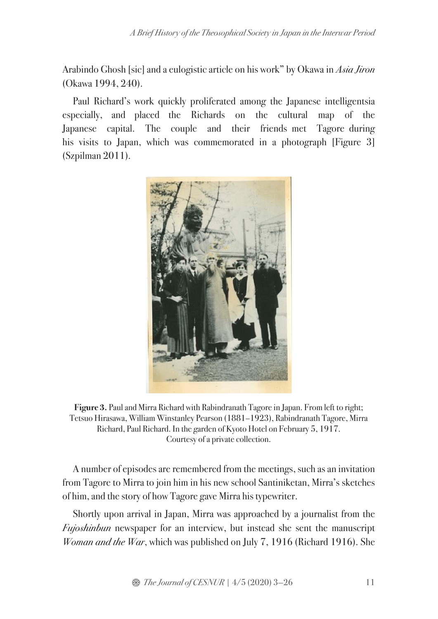Arabindo Ghosh [sic] and a eulogistic article on his work" by Okawa in *Asia Jiron* (Okawa 1994, 240).

Paul Richard's work quickly proliferated among the Japanese intelligentsia especially, and placed the Richards on the cultural map of the Japanese capital. The couple and their friends met Tagore during his visits to Japan, which was commemorated in a photograph [Figure 3] (Szpilman 2011).



**Figure 3.** Paul and Mirra Richard with Rabindranath Tagore in Japan. From left to right; Tetsuo Hirasawa, William Winstanley Pearson (1881–1923), Rabindranath Tagore, Mirra Richard, Paul Richard. In the garden of Kyoto Hotel on February 5, 1917. Courtesy of a private collection.

A number of episodes are remembered from the meetings, such as an invitation from Tagore to Mirra to join him in his new school Santiniketan, Mirra's sketches of him, and the story of how Tagore gave Mirra his typewriter.

Shortly upon arrival in Japan, Mirra was approached by a journalist from the *Fujoshinbun* newspaper for an interview, but instead she sent the manuscript *Woman and the War*, which was published on July 7, 1916 (Richard 1916). She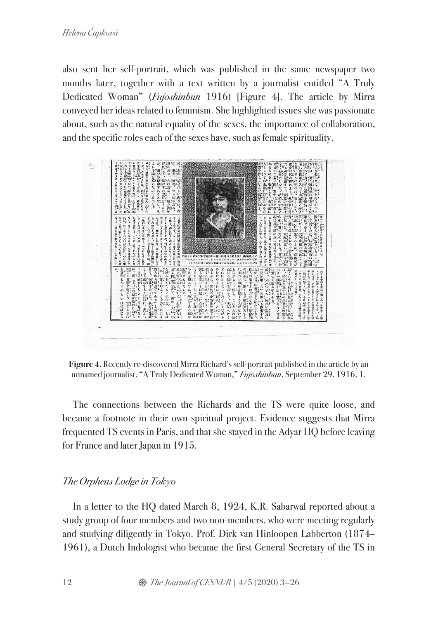also sent her self-portrait, which was published in the same newspaper two months later, together with a text written by a journalist entitled "A Truly Dedicated Woman" (*Fujoshinbun* 1916) [Figure 4]. The article by Mirra conveyed her ideas related to feminism. She highlighted issues she was passionate about, such as the natural equality of the sexes, the importance of collaboration, and the specific roles each of the sexes have, such as female spirituality.



**Figure 4.** Recently re-discovered Mirra Richard's self-portrait published in the article by an unnamed journalist, "A Truly Dedicated Woman," *Fujoshinbun*, September 29, 1916, 1.

The connections between the Richards and the TS were quite loose, and became a footnote in their own spiritual project. Evidence suggests that Mirra frequented TS events in Paris, and that she stayed in the Adyar HQ before leaving for France and later Japan in 1915.

# *The Orpheus Lodge in Tokyo*

In a letter to the HQ dated March 8, 1924, K.R. Sabarwal reported about a study group of four members and two non-members, who were meeting regularly and studying diligently in Tokyo. Prof. Dirk van Hinloopen Labberton (1874– 1961), a Dutch Indologist who became the first General Secretary of the TS in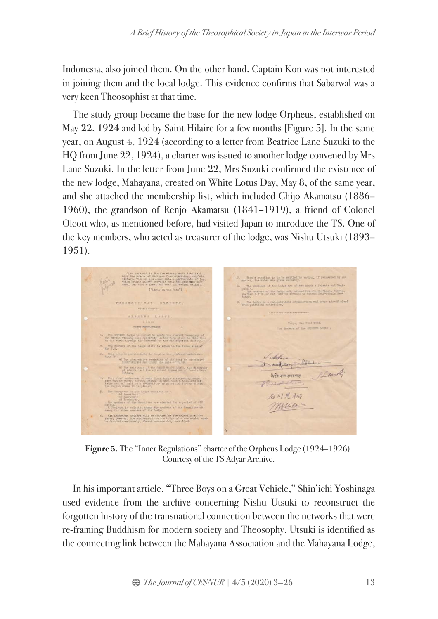Indonesia, also joined them. On the other hand, Captain Kon was not interested in joining them and the local lodge. This evidence confirms that Sabarwal was a very keen Theosophist at that time.

The study group became the base for the new lodge Orpheus, established on May 22, 1924 and led by Saint Hilaire for a few months [Figure 5]. In the same year, on August 4, 1924 (according to a letter from Beatrice Lane Suzuki to the HQ from June 22, 1924), a charter was issued to another lodge convened by Mrs Lane Suzuki. In the letter from June 22, Mrs Suzuki confirmed the existence of the new lodge, Mahayana, created on White Lotus Day, May 8, of the same year, and she attached the membership list, which included Chijo Akamatsu (1886– 1960), the grandson of Renjo Akamatsu (1841–1919), a friend of Colonel Olcott who, as mentioned before, had visited Japan to introduce the TS. One of the key members, who acted as treasurer of the lodge, was Nishu Utsuki (1893– 1951).



**Figure 5.** The "Inner Regulations" charter of the Orpheus Lodge (1924–1926). Courtesy of the TS Adyar Archive.

In his important article, "Three Boys on a Great Vehicle," Shin'ichi Yoshinaga used evidence from the archive concerning Nishu Utsuki to reconstruct the forgotten history of the transnational connection between the networks that were re-framing Buddhism for modern society and Theosophy. Utsuki is identified as the connecting link between the Mahayana Association and the Mahayana Lodge,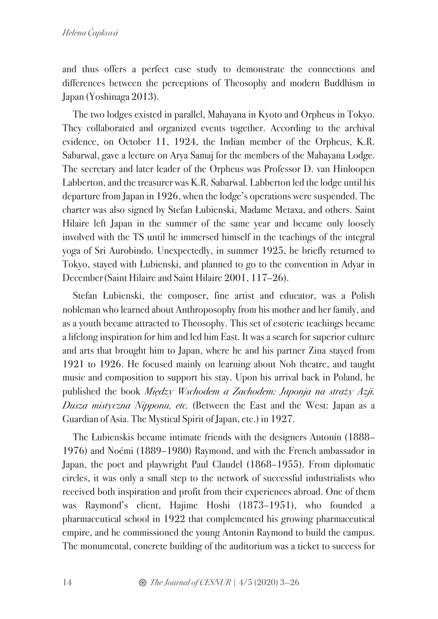and thus offers a perfect case study to demonstrate the connections and differences between the perceptions of Theosophy and modern Buddhism in Japan (Yoshinaga 2013).

The two lodges existed in parallel, Mahayana in Kyoto and Orpheus in Tokyo. They collaborated and organized events together. According to the archival evidence, on October 11, 1924, the Indian member of the Orpheus, K.R. Sabarwal, gave a lecture on Arya Samaj for the members of the Mahayana Lodge. The secretary and later leader of the Orpheus was Professor D. van Hinloopen Labberton, and the treasurer was K.R. Sabarwal. Labberton led the lodge until his departure from Japan in 1926, when the lodge's operations were suspended. The charter was also signed by Stefan Łubienski, Madame Metaxa, and others. Saint Hilaire left Japan in the summer of the same year and became only loosely involved with the TS until he immersed himself in the teachings of the integral yoga of Sri Aurobindo. Unexpectedly, in summer 1925, he briefly returned to Tokyo, stayed with Łubienski, and planned to go to the convention in Adyar in December(Saint Hilaire and Saint Hilaire 2001, 117–26).

Stefan Łubienski, the composer, fine artist and educator, was a Polish nobleman who learned about Anthroposophy from his mother and her family, and as a youth became attracted to Theosophy. This set of esoteric teachings became a lifelong inspiration for him and led him East. It was a search for superior culture and arts that brought him to Japan, where he and his partner Zina stayed from 1921 to 1926. He focused mainly on learning about Noh theatre, and taught music and composition to support his stay. Upon his arrival back in Poland, he published the book *Mi*ę*dzy Wschodem a Zachodem: Japonja na stra*ż*y Azji. Dusza mistyczna Nipponu, etc.* (Between the East and the West: Japan as a Guardian of Asia. The Mystical Spirit of Japan, etc.) in 1927.

The Łubienskis became intimate friends with the designers Antonín (1888– 1976) and Noémi (1889–1980) Raymond, and with the French ambassador in Japan, the poet and playwright Paul Claudel (1868–1955). From diplomatic circles, it was only a small step to the network of successful industrialists who received both inspiration and profit from their experiences abroad. One of them was Raymond's client, Hajime Hoshi (1873–1951), who founded a pharmaceutical school in 1922 that complemented his growing pharmaceutical empire, and he commissioned the young Antonin Raymond to build the campus. The monumental, concrete building of the auditorium was a ticket to success for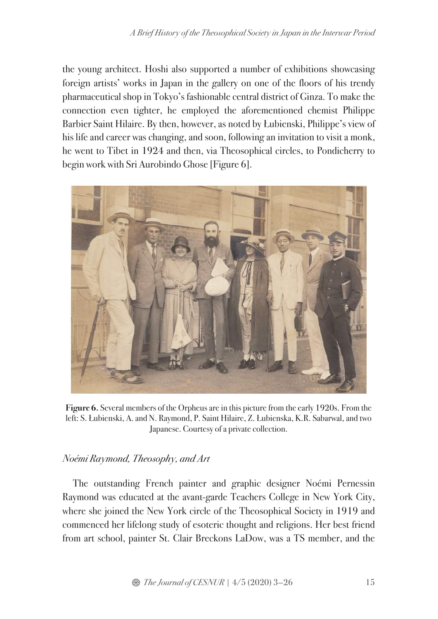the young architect. Hoshi also supported a number of exhibitions showcasing foreign artists' works in Japan in the gallery on one of the floors of his trendy pharmaceutical shop in Tokyo's fashionable central district of Ginza. To make the connection even tighter, he employed the aforementioned chemist Philippe Barbier Saint Hilaire. By then, however, as noted by Łubienski, Philippe's view of his life and career was changing, and soon, following an invitation to visit a monk, he went to Tibet in 1924 and then, via Theosophical circles, to Pondicherry to begin work with Sri Aurobindo Ghose [Figure 6].



**Figure 6.** Several members of the Orpheus are in this picture from the early 1920s. From the left: S. Łubienski, A. and N. Raymond, P. Saint Hilaire, Z. Łubienska, K.R. Sabarwal, and two Japanese. Courtesy of a private collection.

# *Noémi Raymond, Theosophy, and Art*

The outstanding French painter and graphic designer Noémi Pernessin Raymond was educated at the avant-garde Teachers College in New York City, where she joined the New York circle of the Theosophical Society in 1919 and commenced her lifelong study of esoteric thought and religions. Her best friend from art school, painter St. Clair Breckons LaDow, was a TS member, and the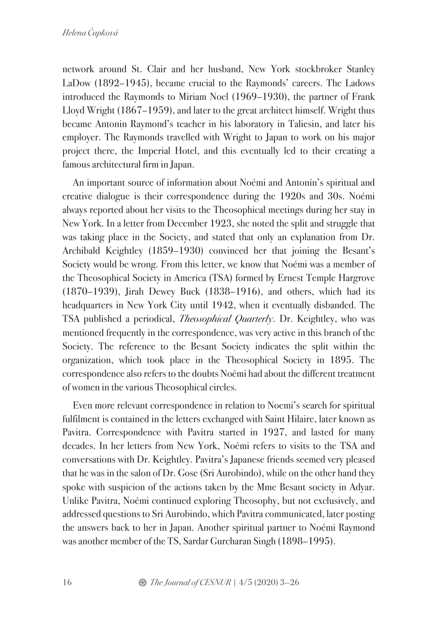network around St. Clair and her husband, New York stockbroker Stanley LaDow (1892–1945), became crucial to the Raymonds' careers. The Ladows introduced the Raymonds to Miriam Noel (1969–1930), the partner of Frank Lloyd Wright (1867–1959), and later to the great architect himself. Wright thus became Antonin Raymond's teacher in his laboratory in Taliesin, and later his employer. The Raymonds travelled with Wright to Japan to work on his major project there, the Imperial Hotel, and this eventually led to their creating a famous architectural firm in Japan.

An important source of information about Noémi and Antonín's spiritual and creative dialogue is their correspondence during the 1920s and 30s. Noémi always reported about her visits to the Theosophical meetings during her stay in New York. In a letter from December 1923, she noted the split and struggle that was taking place in the Society, and stated that only an explanation from Dr. Archibald Keightley (1859–1930) convinced her that joining the Besant's Society would be wrong. From this letter, we know that Noémi was a member of the Theosophical Society in America (TSA) formed by Ernest Temple Hargrove (1870–1939), Jirah Dewey Buck (1838–1916), and others, which had its headquarters in New York City until 1942, when it eventually disbanded. The TSA published a periodical, *Theosophical Quarterly*. Dr. Keightley, who was mentioned frequently in the correspondence, was very active in this branch of the Society. The reference to the Besant Society indicates the split within the organization, which took place in the Theosophical Society in 1895. The correspondence also refers to the doubts Noémi had about the different treatment of women in the various Theosophical circles.

Even more relevant correspondence in relation to Noemi's search for spiritual fulfilment is contained in the letters exchanged with Saint Hilaire, later known as Pavitra. Correspondence with Pavitra started in 1927, and lasted for many decades. In her letters from New York, Noémi refers to visits to the TSA and conversations with Dr. Keightley. Pavitra's Japanese friends seemed very pleased that he was in the salon of Dr. Gose (Sri Aurobindo), while on the other hand they spoke with suspicion of the actions taken by the Mme Besant society in Adyar. Unlike Pavitra, Noémi continued exploring Theosophy, but not exclusively, and addressed questions to Sri Aurobindo, which Pavitra communicated, later posting the answers back to her in Japan. Another spiritual partner to Noémi Raymond was another member of the TS, Sardar Gurcharan Singh (1898–1995).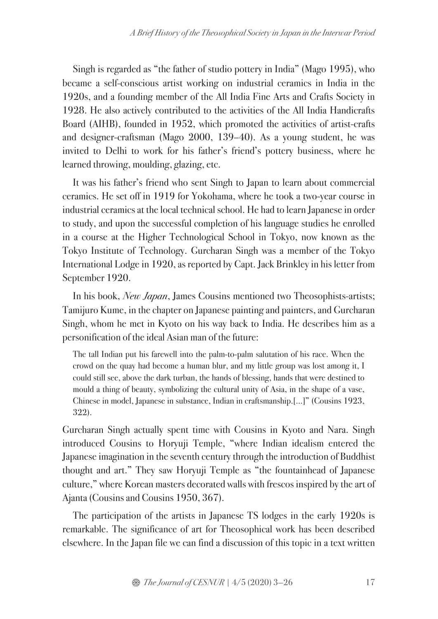Singh is regarded as "the father of studio pottery in India" (Mago 1995), who became a self-conscious artist working on industrial ceramics in India in the 1920s, and a founding member of the All India Fine Arts and Crafts Society in 1928. He also actively contributed to the activities of the All India Handicrafts Board (AIHB), founded in 1952, which promoted the activities of artist-crafts and designer-craftsman (Mago 2000, 139–40). As a young student, he was invited to Delhi to work for his father's friend's pottery business, where he learned throwing, moulding, glazing, etc.

It was his father's friend who sent Singh to Japan to learn about commercial ceramics. He set off in 1919 for Yokohama, where he took a two-year course in industrial ceramics at the local technical school. He had to learn Japanese in order to study, and upon the successful completion of his language studies he enrolled in a course at the Higher Technological School in Tokyo, now known as the Tokyo Institute of Technology. Gurcharan Singh was a member of the Tokyo International Lodge in 1920, as reported by Capt. Jack Brinkley in his letter from September 1920.

In his book, *New Japan*, James Cousins mentioned two Theosophists-artists; Tamijuro Kume, in the chapter on Japanese painting and painters, and Gurcharan Singh, whom he met in Kyoto on his way back to India. He describes him as a personification of the ideal Asian man of the future:

The tall Indian put his farewell into the palm-to-palm salutation of his race. When the crowd on the quay had become a human blur, and my little group was lost among it, I could still see, above the dark turban, the hands of blessing, hands that were destined to mould a thing of beauty, symbolizing the cultural unity of Asia, in the shape of a vase, Chinese in model, Japanese in substance, Indian in craftsmanship.[…]" (Cousins 1923, 322).

Gurcharan Singh actually spent time with Cousins in Kyoto and Nara. Singh introduced Cousins to Horyuji Temple, "where Indian idealism entered the Japanese imagination in the seventh century through the introduction of Buddhist thought and art." They saw Horyuji Temple as "the fountainhead of Japanese culture," where Korean masters decorated walls with frescos inspired by the art of Ajanta(Cousins and Cousins 1950, 367).

The participation of the artists in Japanese TS lodges in the early 1920s is remarkable. The significance of art for Theosophical work has been described elsewhere. In the Japan file we can find a discussion of this topic in a text written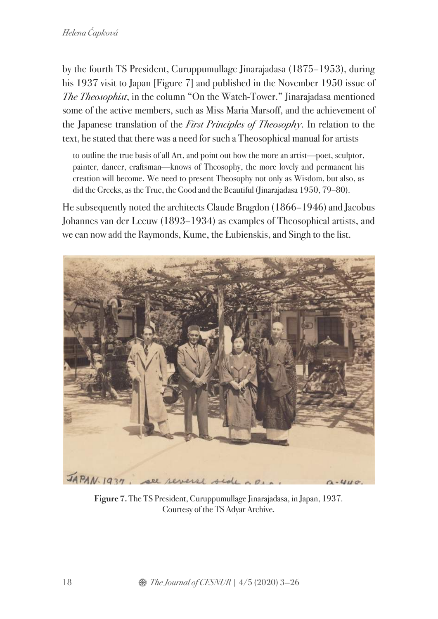by the fourth TS President, Curuppumullage Jinarajadasa (1875–1953), during his 1937 visit to Japan [Figure 7] and published in the November 1950 issue of *The Theosophist*, in the column "On the Watch-Tower." Jinarajadasa mentioned some of the active members, such as Miss Maria Marsoff, and the achievement of the Japanese translation of the *First Principles of Theosophy*. In relation to the text, he stated that there was a need for such a Theosophical manual for artists

to outline the true basis of all Art, and point out how the more an artist—poet, sculptor, painter, dancer, craftsman—knows of Theosophy, the more lovely and permanent his creation will become. We need to present Theosophy not only as Wisdom, but also, as did the Greeks, as the True, the Good and the Beautiful (Jinarajadasa 1950, 79–80).

He subsequently noted the architects Claude Bragdon (1866–1946) and Jacobus Johannes van der Leeuw (1893–1934) as examples of Theosophical artists, and we can now add the Raymonds, Kume, the Łubienskis, and Singh to the list.



**Figure 7.** The TS President, Curuppumullage Jinarajadasa, in Japan, 1937. Courtesy of the TS Adyar Archive.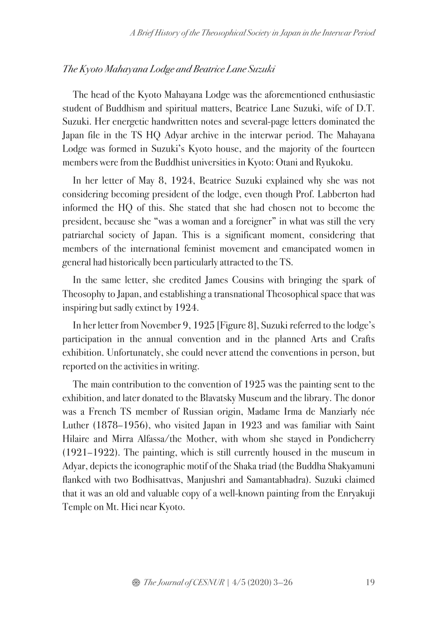### *The Kyoto Mahayana Lodge and Beatrice Lane Suzuki*

The head of the Kyoto Mahayana Lodge was the aforementioned enthusiastic student of Buddhism and spiritual matters, Beatrice Lane Suzuki, wife of D.T. Suzuki. Her energetic handwritten notes and several-page letters dominated the Japan file in the TS HQ Adyar archive in the interwar period. The Mahayana Lodge was formed in Suzuki's Kyoto house, and the majority of the fourteen members were from the Buddhist universities in Kyoto: Otani and Ryukoku.

In her letter of May 8, 1924, Beatrice Suzuki explained why she was not considering becoming president of the lodge, even though Prof. Labberton had informed the HQ of this. She stated that she had chosen not to become the president, because she "was a woman and a foreigner" in what was still the very patriarchal society of Japan. This is a significant moment, considering that members of the international feminist movement and emancipated women in general had historically been particularly attracted to the TS.

In the same letter, she credited James Cousins with bringing the spark of Theosophy to Japan, and establishing a transnational Theosophical space that was inspiring but sadly extinct by 1924.

In her letter from November 9, 1925 [Figure 8], Suzuki referred to the lodge's participation in the annual convention and in the planned Arts and Crafts exhibition. Unfortunately, she could never attend the conventions in person, but reported on the activities in writing.

The main contribution to the convention of 1925 was the painting sent to the exhibition, and later donated to the Blavatsky Museum and the library. The donor was a French TS member of Russian origin, Madame Irma de Manziarly née Luther (1878–1956), who visited Japan in 1923 and was familiar with Saint Hilaire and Mirra Alfassa/the Mother, with whom she stayed in Pondicherry (1921–1922). The painting, which is still currently housed in the museum in Adyar, depicts the iconographic motif of the Shaka triad (the Buddha Shakyamuni flanked with two Bodhisattvas, Manjushri and Samantabhadra). Suzuki claimed that it was an old and valuable copy of a well-known painting from the Enryakuji Temple on Mt. Hiei near Kyoto.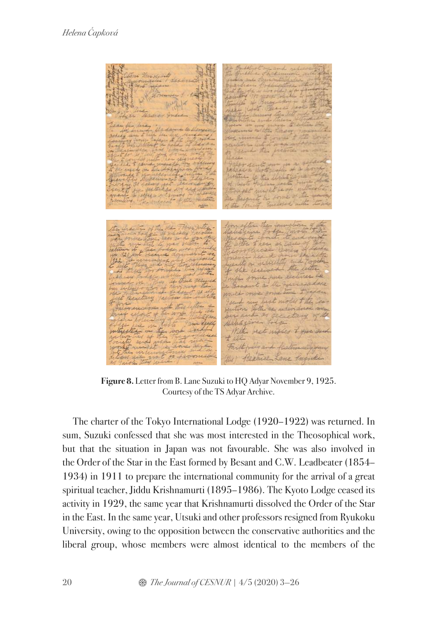I the rest moved Faithfully and field the Beatrice Lane Inquire

**Figure 8.** Letter from B. Lane Suzuki to HQ Adyar November 9, 1925. Courtesy of the TS Adyar Archive.

The charter of the Tokyo International Lodge (1920–1922) was returned. In sum, Suzuki confessed that she was most interested in the Theosophical work, but that the situation in Japan was not favourable. She was also involved in the Order of the Star in the East formed by Besant and C.W. Leadbeater (1854– 1934) in 1911 to prepare the international community for the arrival of a great spiritual teacher, Jiddu Krishnamurti (1895–1986). The Kyoto Lodge ceased its activity in 1929, the same year that Krishnamurti dissolved the Order of the Star in the East. In the same year, Utsuki and other professors resigned from Ryukoku University, owing to the opposition between the conservative authorities and the liberal group, whose members were almost identical to the members of the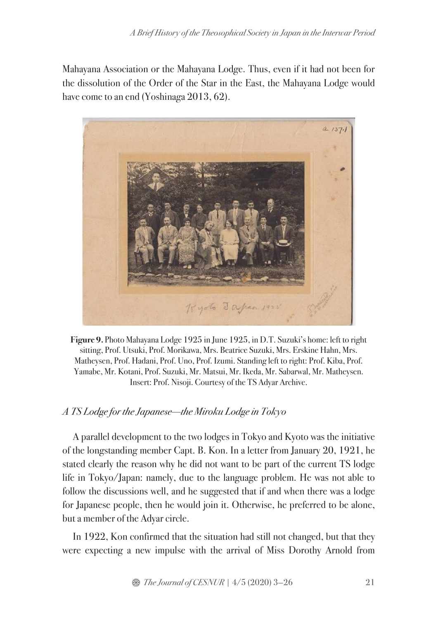Mahayana Association or the Mahayana Lodge. Thus, even if it had not been for the dissolution of the Order of the Star in the East, the Mahayana Lodge would have come to an end (Yoshinaga 2013, 62).



**Figure 9.** Photo Mahayana Lodge 1925 in June 1925, in D.T. Suzuki's home: left to right sitting, Prof. Utsuki, Prof. Morikawa, Mrs. Beatrice Suzuki, Mrs. Erskine Hahn, Mrs. Matheysen, Prof. Hadani, Prof. Uno, Prof. Izumi. Standing left to right: Prof. Kiba, Prof. Yamabe, Mr. Kotani, Prof. Suzuki, Mr. Matsui, Mr. Ikeda, Mr. Sabarwal, Mr. Matheysen. Insert: Prof. Nisoji. Courtesy of the TS Adyar Archive.

# *A TS Lodge for the Japanese—the Miroku Lodge in Tokyo*

A parallel development to the two lodges in Tokyo and Kyoto was the initiative of the longstanding member Capt. B. Kon. In a letter from January 20, 1921, he stated clearly the reason why he did not want to be part of the current TS lodge life in Tokyo/Japan: namely, due to the language problem. He was not able to follow the discussions well, and he suggested that if and when there was a lodge for Japanese people, then he would join it. Otherwise, he preferred to be alone, but a member of the Adyar circle.

In 1922, Kon confirmed that the situation had still not changed, but that they were expecting a new impulse with the arrival of Miss Dorothy Arnold from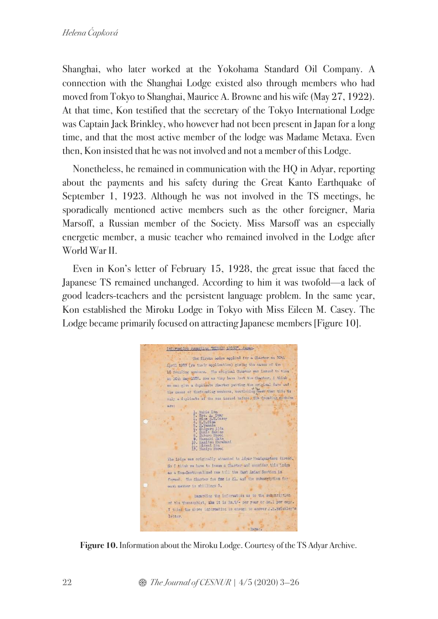Shanghai, who later worked at the Yokohama Standard Oil Company. A connection with the Shanghai Lodge existed also through members who had moved from Tokyo to Shanghai, Maurice A. Browne and his wife (May 27, 1922). At that time, Kon testified that the secretary of the Tokyo International Lodge was Captain Jack Brinkley, who however had not been present in Japan for a long time, and that the most active member of the lodge was Madame Metaxa. Even then, Kon insisted that he was not involved and not a member of this Lodge.

Nonetheless, he remained in communication with the HQ in Adyar, reporting about the payments and his safety during the Great Kanto Earthquake of September 1, 1923. Although he was not involved in the TS meetings, he sporadically mentioned active members such as the other foreigner, Maria Marsoff, a Russian member of the Society. Miss Marsoff was an especially energetic member, a music teacher who remained involved in the Lodge after World War II.

Even in Kon's letter of February 15, 1928, the great issue that faced the Japanese TS remained unchanged. According to him it was twofold—a lack of good leaders-teachers and the persistent language problem. In the same year, Kon established the Miroku Lodge in Tokyo with Miss Eileen M. Casey. The Lodge became primarily focused on attracting Japanese members [Figure 10].



**Figure 10.** Information about the Miroku Lodge. Courtesy of the TS Adyar Archive.

22 **3** *The Journal of CESNUR* |  $4/5$  (2020) 3-26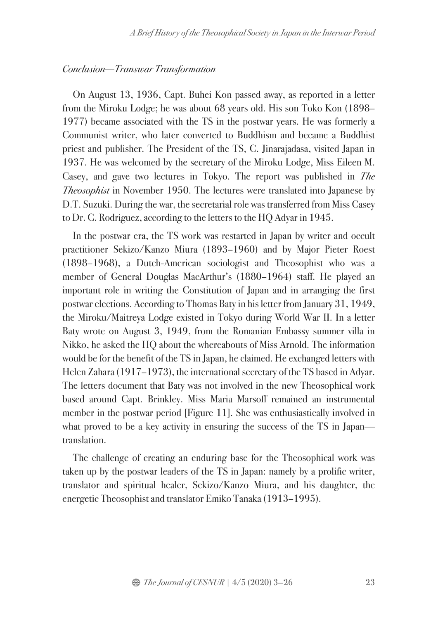#### *Conclusion—Transwar Transformation*

On August 13, 1936, Capt. Buhei Kon passed away, as reported in a letter from the Miroku Lodge; he was about 68 years old. His son Toko Kon (1898– 1977) became associated with the TS in the postwar years. He was formerly a Communist writer, who later converted to Buddhism and became a Buddhist priest and publisher. The President of the TS, C. Jinarajadasa, visited Japan in 1937. He was welcomed by the secretary of the Miroku Lodge, Miss Eileen M. Casey, and gave two lectures in Tokyo. The report was published in *The Theosophist* in November 1950. The lectures were translated into Japanese by D.T. Suzuki. During the war, the secretarial role was transferred from Miss Casey to Dr. C. Rodriguez, according to the letters to the HQ Adyar in 1945.

In the postwar era, the TS work was restarted in Japan by writer and occult practitioner Sekizo/Kanzo Miura (1893–1960) and by Major Pieter Roest (1898–1968), a Dutch-American sociologist and Theosophist who was a member of General Douglas MacArthur's (1880–1964) staff. He played an important role in writing the Constitution of Japan and in arranging the first postwar elections. According to Thomas Baty in his letter from January 31, 1949, the Miroku/Maitreya Lodge existed in Tokyo during World War II. In a letter Baty wrote on August 3, 1949, from the Romanian Embassy summer villa in Nikko, he asked the HQ about the whereabouts of Miss Arnold. The information would be for the benefit of the TS in Japan, he claimed. He exchanged letters with Helen Zahara (1917–1973), the international secretary of the TS based in Adyar. The letters document that Baty was not involved in the new Theosophical work based around Capt. Brinkley. Miss Maria Marsoff remained an instrumental member in the postwar period [Figure 11]. She was enthusiastically involved in what proved to be a key activity in ensuring the success of the TS in Japan translation.

The challenge of creating an enduring base for the Theosophical work was taken up by the postwar leaders of the TS in Japan: namely by a prolific writer, translator and spiritual healer, Sekizo/Kanzo Miura, and his daughter, the energetic Theosophist and translator Emiko Tanaka (1913–1995).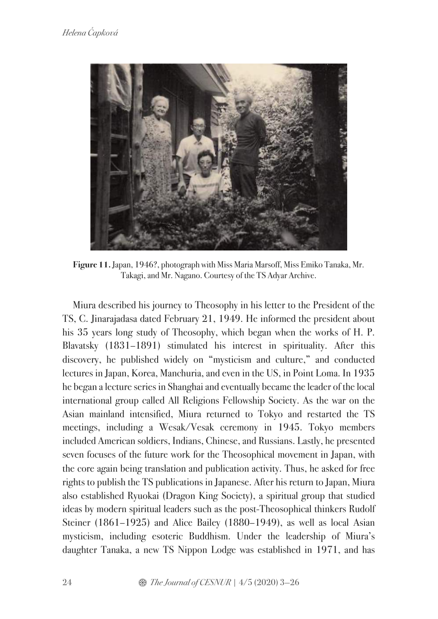

**Figure 11.** Japan, 1946?, photograph with Miss Maria Marsoff, Miss Emiko Tanaka, Mr. Takagi, and Mr. Nagano. Courtesy of the TS Adyar Archive.

Miura described his journey to Theosophy in his letter to the President of the TS, C. Jinarajadasa dated February 21, 1949. He informed the president about his 35 years long study of Theosophy, which began when the works of H. P. Blavatsky (1831–1891) stimulated his interest in spirituality. After this discovery, he published widely on "mysticism and culture," and conducted lectures in Japan, Korea, Manchuria, and even in the US, in Point Loma. In 1935 he began a lecture series in Shanghai and eventually became the leader of the local international group called All Religions Fellowship Society. As the war on the Asian mainland intensified, Miura returned to Tokyo and restarted the TS meetings, including a Wesak/Vesak ceremony in 1945. Tokyo members included American soldiers, Indians, Chinese, and Russians. Lastly, he presented seven focuses of the future work for the Theosophical movement in Japan, with the core again being translation and publication activity. Thus, he asked for free rights to publish the TS publications in Japanese. After his return to Japan, Miura also established Ryuokai (Dragon King Society), a spiritual group that studied ideas by modern spiritual leaders such as the post-Theosophical thinkers Rudolf Steiner (1861–1925) and Alice Bailey (1880–1949), as well as local Asian mysticism, including esoteric Buddhism. Under the leadership of Miura's daughter Tanaka, a new TS Nippon Lodge was established in 1971, and has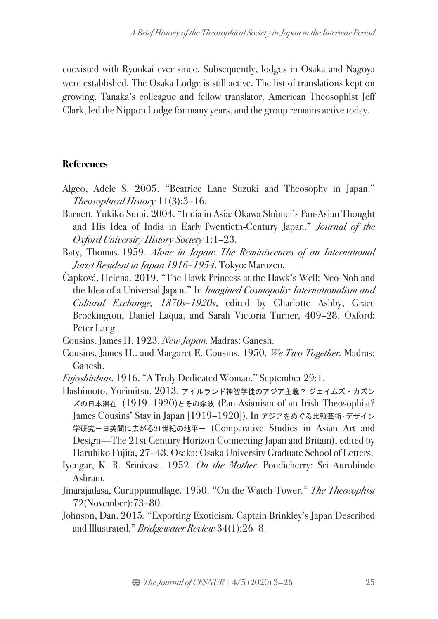coexisted with Ryuokai ever since. Subsequently, lodges in Osaka and Nagoya were established. The Osaka Lodge is still active. The list of translations kept on growing. Tanaka's colleague and fellow translator, American Theosophist Jeff Clark, led the Nippon Lodge for many years, and the group remains active today.

### **References**

- Algeo, Adele S. 2005. "Beatrice Lane Suzuki and Theosophy in Japan." *Theosophical History* 11(3):3–16.
- Barnett*,* Yukiko Sumi. 2004. "India in Asia*:* Okawa Shûmei's Pan*-*Asian Thought and His Idea of India in Early Twentieth-Century Japan." *Journal of the Oxford University History Society* 1:1–23.
- Baty, Thomas. 1959. *Alone in Japan*: *The Reminiscences of an International Jurist Resident in Japan 1916–1954*. Tokyo: Maruzen.
- Čapková, Helena. 2019. "The Hawk Princess at the Hawk's Well: Neo-Noh and the Idea of a Universal Japan." In *Imagined Cosmopolis: Internationalism and Cultural Exchange, 1870s–1920s*, edited by Charlotte Ashby, Grace Brockington, Daniel Laqua, and Sarah Victoria Turner, 409–28. Oxford: Peter Lang.
- Cousins, James H. 1923. *New Japan.* Madras: Ganesh.
- Cousins, James H., and Margaret E. Cousins. 1950. *We Two Together.* Madras: Ganesh.
- *Fujoshinbun*. 1916. "A Truly Dedicated Woman." September 29:1.
- Hashimoto, Yorimitsu. 2013. アイルランド神智学徒のアジア主義? ジェイムズ・カズン ズの日本滞在 (1919–1920)とその余波 (Pan-Asianism of an Irish Theosophist? James Cousins' Stay in Japan [1919–1920]). In アジアをめぐる比較芸術・デザイン 学研究-日英間に広がる21世紀の地平- (Comparative Studies in Asian Art and Design—The 21st Century Horizon Connecting Japan and Britain), edited by Haruhiko Fujita, 27–43. Osaka: Osaka University Graduate School of Letters.
- Iyengar, K. R. Srinivasa. 1952. *On the Mother.* Pondicherry: Sri Aurobindo Ashram.
- Jinarajadasa, Curuppumullage. 1950. "On the Watch-Tower." *The Theosophist* 72(November):73–80.
- Johnson, Dan. 2015*.* "Exporting Exoticism*:* Captain Brinkley's Japan Described and Illustrated." *Bridgewater Review* 34(1):26–8.